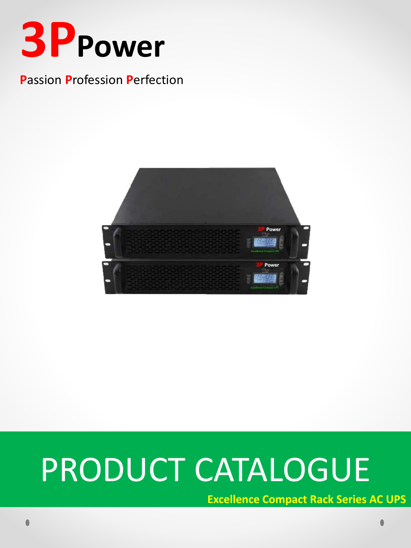

## **Passion Profession Perfection**



# PRODUCT CATALOGUE

**Excellence Compact Rack Series AC UPS**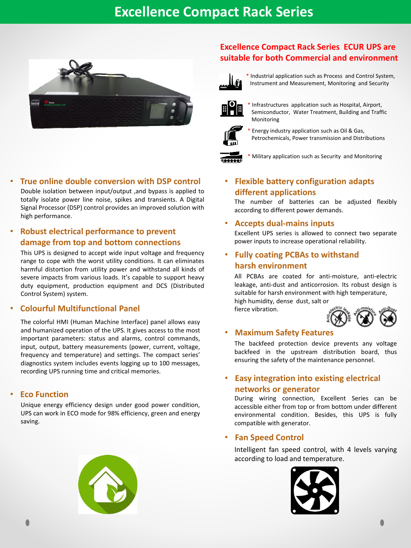

#### • **True online double conversion with DSP control**

Double isolation between input/output ,and bypass is applied to totally isolate power line noise, spikes and transients. A Digital Signal Processor (DSP) control provides an improved solution with high performance.

#### • **Robust electrical performance to prevent damage from top and bottom connections**

This UPS is designed to accept wide input voltage and frequency range to cope with the worst utility conditions. It can eliminates harmful distortion from utility power and withstand all kinds of severe impacts from various loads. It's capable to support heavy duty equipment, production equipment and DCS (Distributed Control System) system.

#### • **Colourful Multifunctional Panel**

The colorful HMI (Human Machine Interface) panel allows easy and humanized operation of the UPS. It gives access to the most important parameters: status and alarms, control commands, input, output, battery measurements (power, current, voltage, frequency and temperature) and settings. The compact series' diagnostics system includes events logging up to 100 messages, recording UPS running time and critical memories.

#### • **Eco Function**

Unique energy efficiency design under good power condition, UPS can work in ECO mode for 98% efficiency, green and energy saving.

#### **Excellence Compact Rack Series ECUR UPS are suitable for both Commercial and environment**



\* Industrial application such as Process and Control System, Instrument and Measurement, Monitoring and Security



Infrastructures application such as Hospital, Airport, Semiconductor, Water Treatment, Building and Traffic Monitoring



Energy industry application such as Oil & Gas, Petrochemicals, Power transmission and Distributions



Military application such as Security and Monitoring

#### • **Flexible battery configuration adapts different applications**

The number of batteries can be adjusted flexibly according to different power demands.

#### • **Accepts dual-mains inputs**

Excellent UPS series is allowed to connect two separate power inputs to increase operational reliability.

#### • **Fully coating PCBAs to withstand harsh environment**

All PCBAs are coated for anti-moisture, anti-electric leakage, anti-dust and anticorrosion. Its robust design is suitable for harsh environment with high temperature, high humidity, dense dust, salt or

fierce vibration.



#### • **Maximum Safety Features**

The backfeed protection device prevents any voltage backfeed in the upstream distribution board, thus ensuring the safety of the maintenance personnel.

#### • **Easy integration into existing electrical networks or generator**

During wiring connection, Excellent Series can be accessible either from top or from bottom under different environmental condition. Besides, this UPS is fully compatible with generator.

#### • **Fan Speed Control**

Intelligent fan speed control, with 4 levels varying according to load and temperature.

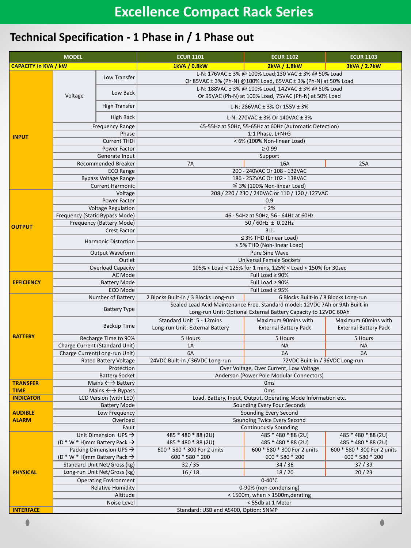## **Technical Specification - 1 Phase in / 1 Phase out**

| <b>MODEL</b>                |                                                                                 |                                         | <b>ECUR 1101</b>                                                                                                                                | <b>ECUR 1102</b>                                    | <b>ECUR 1103</b>                                    |  |  |
|-----------------------------|---------------------------------------------------------------------------------|-----------------------------------------|-------------------------------------------------------------------------------------------------------------------------------------------------|-----------------------------------------------------|-----------------------------------------------------|--|--|
| <b>CAPACITY in KVA / kW</b> |                                                                                 |                                         | 1kVA / 0.8kW<br>and the state of the state of the state                                                                                         | 2kVA / 1.8kW<br>and the state of the state of the   | <b>3kVA / 2.7kW</b>                                 |  |  |
|                             | Voltage                                                                         | Low Transfer                            | L-N: 176VAC ± 3% @ 100% Load;130 VAC ± 3% @ 50% Load<br>Or 85VAC ± 3% (Ph-N) @100% Load, 65VAC ± 3% (Ph-N) at 50% Load                          |                                                     |                                                     |  |  |
| <b>INPUT</b>                |                                                                                 | Low Back                                | L-N: 188VAC ± 3% @ 100% Load, 142VAC ± 3% @ 50% Load<br>Or 95VAC (Ph-N) at 100% Load, 75VAC (Ph-N) at 50% Load                                  |                                                     |                                                     |  |  |
|                             |                                                                                 | <b>High Transfer</b>                    | L-N: 286VAC $\pm$ 3% Or 155V $\pm$ 3%                                                                                                           |                                                     |                                                     |  |  |
|                             | High Back                                                                       |                                         | L-N: 270VAC ± 3% Or 140VAC ± 3%                                                                                                                 |                                                     |                                                     |  |  |
|                             | <b>Frequency Range</b>                                                          |                                         | 45-55Hz at 50Hz, 55-65Hz at 60Hz (Automatic Detection)                                                                                          |                                                     |                                                     |  |  |
|                             | Phase                                                                           |                                         | 1:1 Phase, L+N+G                                                                                                                                |                                                     |                                                     |  |  |
|                             | <b>Current THDi</b>                                                             |                                         | < 6% (100% Non-linear Load)<br>$\geq 0.99$                                                                                                      |                                                     |                                                     |  |  |
|                             | Power Factor                                                                    |                                         | Support                                                                                                                                         |                                                     |                                                     |  |  |
|                             | Generate Input<br>Recommended Breaker                                           |                                         | 7A                                                                                                                                              | 16A                                                 | 25A                                                 |  |  |
|                             | <b>ECO Range</b>                                                                |                                         |                                                                                                                                                 | 200 - 240VAC Or 108 - 132VAC                        |                                                     |  |  |
|                             | <b>Bypass Voltage Range</b>                                                     |                                         | 186 - 252VAC Or 102 - 138VAC                                                                                                                    |                                                     |                                                     |  |  |
|                             | <b>Current Harmonic</b>                                                         |                                         | $\leq$ 3% (100% Non-linear Load)                                                                                                                |                                                     |                                                     |  |  |
|                             | Voltage                                                                         |                                         | 208 / 220 / 230 / 240VAC or 110 / 120 / 127VAC                                                                                                  |                                                     |                                                     |  |  |
|                             | Power Factor                                                                    |                                         | 0.9                                                                                                                                             |                                                     |                                                     |  |  |
|                             | <b>Voltage Regulation</b>                                                       |                                         | ±2%                                                                                                                                             |                                                     |                                                     |  |  |
|                             | Frequency (Static Bypass Mode)                                                  |                                         | 46 - 54Hz at 50Hz, 56 - 64Hz at 60Hz                                                                                                            |                                                     |                                                     |  |  |
|                             | Frequency (Battery Mode)                                                        |                                         | 50 / 60Hz $\pm$ 0.02Hz                                                                                                                          |                                                     |                                                     |  |  |
| <b>OUTPUT</b>               | <b>Crest Factor</b>                                                             |                                         | 3:1                                                                                                                                             |                                                     |                                                     |  |  |
|                             | <b>Harmonic Distortion</b>                                                      |                                         | $\leq$ 3% THD (Linear Load)                                                                                                                     |                                                     |                                                     |  |  |
|                             |                                                                                 |                                         | $\leq$ 5% THD (Non-linear Load)                                                                                                                 |                                                     |                                                     |  |  |
|                             | Output Waveform                                                                 |                                         | Pure Sine Wave                                                                                                                                  |                                                     |                                                     |  |  |
|                             | Outlet                                                                          |                                         | <b>Universal Female Sockets</b>                                                                                                                 |                                                     |                                                     |  |  |
|                             | <b>Overload Capacity</b>                                                        |                                         | 105% < Load < 125% for 1 mins, 125% < Load < 150% for 30sec                                                                                     |                                                     |                                                     |  |  |
|                             | AC Mode                                                                         |                                         | Full Load $\geq 90\%$                                                                                                                           |                                                     |                                                     |  |  |
| <b>EFFICIENCY</b>           | <b>Battery Mode</b>                                                             |                                         | Full Load $\geq 90\%$                                                                                                                           |                                                     |                                                     |  |  |
|                             | ECO Mode                                                                        |                                         | Full Load $\geq$ 95%                                                                                                                            |                                                     |                                                     |  |  |
|                             | Number of Battery                                                               |                                         | 2 Blocks Built-in / 3 Blocks Long-run                                                                                                           | 6 Blocks Built-in / 8 Blocks Long-run               |                                                     |  |  |
|                             | <b>Battery Type</b>                                                             |                                         | Sealed Lead Acid Maintenance Free, Standard model: 12VDC 7Ah or 9Ah Built-in<br>Long-run Unit: Optional External Battery Capacity to 12VDC 60Ah |                                                     |                                                     |  |  |
|                             | <b>Backup Time</b>                                                              |                                         | Standard Unit: 5 - 12mins<br>Long-run Unit: External Battery                                                                                    | Maximum 90mins with<br><b>External Battery Pack</b> | Maximum 60mins with<br><b>External Battery Pack</b> |  |  |
| <b>BATTERY</b>              | Recharge Time to 90%                                                            |                                         | 5 Hours                                                                                                                                         | 5 Hours                                             | 5 Hours                                             |  |  |
|                             | Charge Current (Standard Unit)                                                  |                                         | 1A                                                                                                                                              | <b>NA</b>                                           | <b>NA</b>                                           |  |  |
|                             |                                                                                 | Charge Current(Long-run Unit)           | 6A                                                                                                                                              | 6A                                                  | 6A                                                  |  |  |
|                             |                                                                                 | <b>Rated Battery Voltage</b>            | 24VDC Built-in / 36VDC Long-run                                                                                                                 | 72VDC Built-in / 96VDC Long-run                     |                                                     |  |  |
|                             | Protection                                                                      |                                         | Over Voltage, Over Current, Low Voltage                                                                                                         |                                                     |                                                     |  |  |
|                             | <b>Battery Socket</b>                                                           |                                         | Anderson (Power Pole Modular Connectors)                                                                                                        |                                                     |                                                     |  |  |
| <b>TRANSFER</b>             |                                                                                 | Mains $\leftarrow$ Battery              | 0 <sub>ms</sub>                                                                                                                                 |                                                     |                                                     |  |  |
| <b>TIME</b>                 |                                                                                 | Mains $\leftarrow$ $\rightarrow$ Bypass | 0 <sub>ms</sub>                                                                                                                                 |                                                     |                                                     |  |  |
| <b>INDICATOR</b>            |                                                                                 | LCD Version (with LED)                  | Load, Battery, Input, Output, Operating Mode Information etc.                                                                                   |                                                     |                                                     |  |  |
|                             | <b>Battery Mode</b>                                                             |                                         | Sounding Every Four Seconds                                                                                                                     |                                                     |                                                     |  |  |
| <b>AUDIBLE</b>              |                                                                                 | Low Frequency                           |                                                                                                                                                 | Sounding Every Second                               |                                                     |  |  |
| <b>ALARM</b>                | Overload                                                                        |                                         | Sounding Twice Every Second                                                                                                                     |                                                     |                                                     |  |  |
|                             | Fault<br>Unit Dimension UPS $\rightarrow$                                       |                                         | 485 * 480 * 88 (2U)                                                                                                                             | <b>Continuously Sounding</b><br>485 * 480 * 88 (2U) | 485 * 480 * 88 (2U)                                 |  |  |
|                             |                                                                                 |                                         | 485 * 480 * 88 (2U)                                                                                                                             | 485 * 480 * 88 (2U)                                 | 485 * 480 * 88 (2U)                                 |  |  |
|                             | (D * W * H)mm Battery Pack $\rightarrow$                                        |                                         | 600 * 580 * 300 For 2 units                                                                                                                     | 600 * 580 * 300 For 2 units                         | 600 * 580 * 300 For 2 units                         |  |  |
|                             | Packing Dimension UPS $\rightarrow$<br>(D * W * H)mm Battery Pack $\rightarrow$ |                                         | 600 * 580 * 200                                                                                                                                 | 600 * 580 * 200                                     | 600 * 580 * 200                                     |  |  |
| <b>PHYSICAL</b>             | Standard Unit Net/Gross (kg)                                                    |                                         | 32/35                                                                                                                                           | 34/36                                               | 37/39                                               |  |  |
|                             | Long-run Unit Net/Gross (kg)                                                    |                                         | 16/18                                                                                                                                           |                                                     | 20/23                                               |  |  |
|                             | <b>Operating Environment</b>                                                    |                                         | 18/20<br>$0-40^{\circ}$ C                                                                                                                       |                                                     |                                                     |  |  |
|                             | <b>Relative Humidity</b>                                                        |                                         | 0-90% (non-condensing)                                                                                                                          |                                                     |                                                     |  |  |
|                             | Altitude                                                                        |                                         | < 1500m, when > 1500m, derating                                                                                                                 |                                                     |                                                     |  |  |
|                             | Noise Level                                                                     |                                         | < 55db at 1 Meter                                                                                                                               |                                                     |                                                     |  |  |
| <b>INTERFACE</b>            |                                                                                 | Standard: USB and AS400, Option: SNMP   |                                                                                                                                                 |                                                     |                                                     |  |  |
|                             |                                                                                 |                                         |                                                                                                                                                 |                                                     |                                                     |  |  |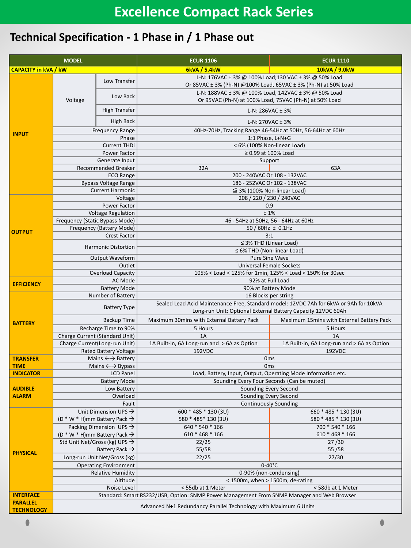## **Technical Specification - 1 Phase in / 1 Phase out**

| <b>MODEL</b>                |                                                                                            |                                        | <b>ECUR 1106</b>                                                                                                       | <b>ECUR 1110</b>                            |  |  |  |
|-----------------------------|--------------------------------------------------------------------------------------------|----------------------------------------|------------------------------------------------------------------------------------------------------------------------|---------------------------------------------|--|--|--|
| <b>CAPACITY in kVA / kW</b> |                                                                                            |                                        | 6kVA / 5.4kW                                                                                                           | 10kVA / 9.0kW                               |  |  |  |
| <b>INPUT</b>                |                                                                                            | Low Transfer                           | L-N: 176VAC ± 3% @ 100% Load;130 VAC ± 3% @ 50% Load<br>Or 85VAC ± 3% (Ph-N) @100% Load, 65VAC ± 3% (Ph-N) at 50% Load |                                             |  |  |  |
|                             | Voltage                                                                                    | Low Back                               | L-N: 188VAC ± 3% @ 100% Load, 142VAC ± 3% @ 50% Load<br>Or 95VAC (Ph-N) at 100% Load, 75VAC (Ph-N) at 50% Load         |                                             |  |  |  |
|                             |                                                                                            | <b>High Transfer</b>                   | L-N: 286VAC $\pm$ 3%                                                                                                   |                                             |  |  |  |
|                             | High Back                                                                                  |                                        | L-N: 270VAC $\pm$ 3%                                                                                                   |                                             |  |  |  |
|                             | <b>Frequency Range</b>                                                                     |                                        | 40Hz-70Hz, Tracking Range 46-54Hz at 50Hz, 56-64Hz at 60Hz                                                             |                                             |  |  |  |
|                             | Phase                                                                                      |                                        | 1:1 Phase, L+N+G                                                                                                       |                                             |  |  |  |
|                             | <b>Current THDi</b>                                                                        |                                        | < 6% (100% Non-linear Load)                                                                                            |                                             |  |  |  |
|                             | Power Factor                                                                               |                                        | ≥ 0.99 at 100% Load                                                                                                    |                                             |  |  |  |
|                             | Generate Input                                                                             |                                        | Support                                                                                                                |                                             |  |  |  |
|                             | Recommended Breaker                                                                        |                                        | 32A<br>63A                                                                                                             |                                             |  |  |  |
|                             | <b>ECO Range</b>                                                                           |                                        | 200 - 240VAC Or 108 - 132VAC                                                                                           |                                             |  |  |  |
|                             | <b>Bypass Voltage Range</b>                                                                |                                        | 186 - 252VAC Or 102 - 138VAC                                                                                           |                                             |  |  |  |
|                             | <b>Current Harmonic</b>                                                                    |                                        | $\leq$ 3% (100% Non-linear Load)                                                                                       |                                             |  |  |  |
|                             | Voltage                                                                                    |                                        | 208 / 220 / 230 / 240VAC                                                                                               |                                             |  |  |  |
|                             | Power Factor                                                                               |                                        | 0.9                                                                                                                    |                                             |  |  |  |
|                             | <b>Voltage Regulation</b>                                                                  |                                        | ±1%                                                                                                                    |                                             |  |  |  |
| <b>OUTPUT</b>               | Frequency (Static Bypass Mode)                                                             |                                        | 46 - 54Hz at 50Hz, 56 - 64Hz at 60Hz                                                                                   |                                             |  |  |  |
|                             | Frequency (Battery Mode)                                                                   |                                        | $\frac{1}{50}$ /60Hz ± 0.1Hz                                                                                           |                                             |  |  |  |
|                             | <b>Crest Factor</b>                                                                        |                                        | 3:1                                                                                                                    |                                             |  |  |  |
|                             | <b>Harmonic Distortion</b>                                                                 |                                        | $\leq$ 3% THD (Linear Load)                                                                                            |                                             |  |  |  |
|                             |                                                                                            |                                        | ≤ 6% THD (Non-linear Load)<br>Pure Sine Wave                                                                           |                                             |  |  |  |
|                             | <b>Output Waveform</b><br>Outlet                                                           |                                        | <b>Universal Female Sockets</b>                                                                                        |                                             |  |  |  |
|                             | <b>Overload Capacity</b>                                                                   |                                        | 105% < Load < 125% for 1min, 125% < Load < 150% for 30sec                                                              |                                             |  |  |  |
|                             | AC Mode                                                                                    |                                        | 92% at Full Load                                                                                                       |                                             |  |  |  |
| <b>EFFICIENCY</b>           |                                                                                            | <b>Battery Mode</b>                    | 90% at Battery Mode                                                                                                    |                                             |  |  |  |
|                             | Number of Battery                                                                          |                                        | 16 Blocks per string                                                                                                   |                                             |  |  |  |
|                             | <b>Battery Type</b>                                                                        |                                        | Sealed Lead Acid Maintenance Free, Standard model: 12VDC 7Ah for 6kVA or 9Ah for 10kVA                                 |                                             |  |  |  |
| <b>BATTERY</b>              | Backup Time                                                                                |                                        | Long-run Unit: Optional External Battery Capacity 12VDC 60Ah<br>Maximum 30mins with External Battery Pack              | Maximum 15mins with External Battery Pack   |  |  |  |
|                             | Recharge Time to 90%                                                                       |                                        | 5 Hours                                                                                                                | 5 Hours                                     |  |  |  |
|                             |                                                                                            | Charge Current (Standard Unit)         | 1A                                                                                                                     | 1A                                          |  |  |  |
|                             | Charge Current(Long-run Unit)                                                              |                                        | 1A Built-in, 6A Long-run and > 6A as Option                                                                            | 1A Built-in, 6A Long-run and > 6A as Option |  |  |  |
|                             |                                                                                            | <b>Rated Battery Voltage</b>           | 192VDC                                                                                                                 | 192VDC                                      |  |  |  |
| <b>TRANSFER</b>             |                                                                                            | Mains $\leftarrow \rightarrow$ Battery | 0 <sub>ms</sub>                                                                                                        |                                             |  |  |  |
| <b>TIME</b>                 |                                                                                            | Mains $\leftarrow \rightarrow$ Bypass  | 0 <sub>ms</sub>                                                                                                        |                                             |  |  |  |
| <b>INDICATOR</b>            |                                                                                            | <b>LCD Panel</b>                       | Load, Battery, Input, Output, Operating Mode Information etc.                                                          |                                             |  |  |  |
|                             | <b>Battery Mode</b>                                                                        |                                        | Sounding Every Four Seconds (Can be muted)                                                                             |                                             |  |  |  |
| <b>AUDIBLE</b>              | Sounding Every Second<br>Low Battery                                                       |                                        |                                                                                                                        |                                             |  |  |  |
| <b>ALARM</b>                |                                                                                            | Overload                               |                                                                                                                        | Sounding Every Second                       |  |  |  |
|                             | Fault                                                                                      |                                        | <b>Continuously Sounding</b>                                                                                           |                                             |  |  |  |
| <b>PHYSICAL</b>             |                                                                                            | Unit Dimension UPS $\rightarrow$       | 600 * 485 * 130 (3U)                                                                                                   | 660 * 485 * 130 (3U)                        |  |  |  |
|                             | (D * W * H)mm Battery Pack $\rightarrow$                                                   |                                        | 580 * 485 * 130 (3U)                                                                                                   | 580 * 485 * 130 (3U)                        |  |  |  |
|                             | Packing Dimension UPS $\rightarrow$                                                        |                                        | 640 * 540 * 166                                                                                                        | 700 * 540 * 166                             |  |  |  |
|                             | (D * W * H)mm Battery Pack $\rightarrow$                                                   |                                        | 610 * 468 * 166                                                                                                        | 610 * 468 * 166                             |  |  |  |
|                             | Std Unit Net/Gross (kg) UPS $\rightarrow$                                                  |                                        | 22/25                                                                                                                  | 27/30                                       |  |  |  |
|                             | Battery Pack $\rightarrow$<br>Long-run Unit Net/Gross (kg)                                 |                                        | 55/58<br>22/25                                                                                                         | 55/58<br>27/30                              |  |  |  |
|                             |                                                                                            |                                        |                                                                                                                        |                                             |  |  |  |
|                             | <b>Operating Environment</b><br><b>Relative Humidity</b>                                   |                                        | $0-40^{\circ}$ C<br>0-90% (non-condensing)                                                                             |                                             |  |  |  |
|                             | Altitude                                                                                   |                                        | < 1500m, when > 1500m, de-rating                                                                                       |                                             |  |  |  |
|                             | Noise Level                                                                                |                                        | < 55db at 1 Meter                                                                                                      | < 58db at 1 Meter                           |  |  |  |
| <b>INTERFACE</b>            | Standard: Smart RS232/USB, Option: SNMP Power Management From SNMP Manager and Web Browser |                                        |                                                                                                                        |                                             |  |  |  |
| <b>PARALLEL</b>             |                                                                                            |                                        |                                                                                                                        |                                             |  |  |  |
| <b>TECHNOLOGY</b>           | Advanced N+1 Redundancy Parallel Technology with Maximum 6 Units                           |                                        |                                                                                                                        |                                             |  |  |  |